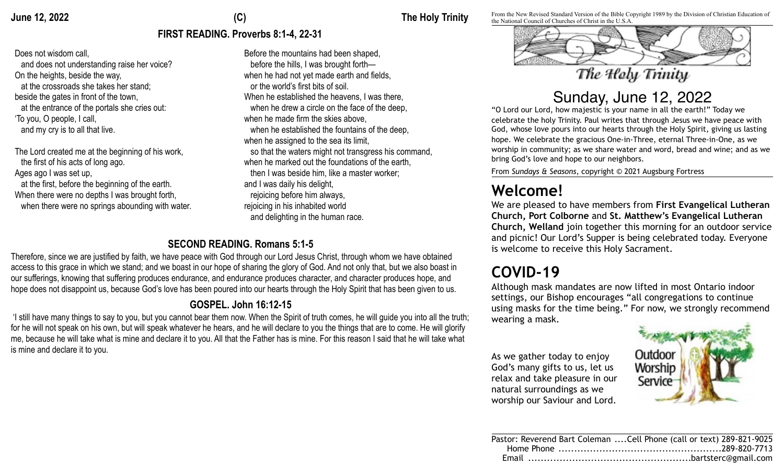### **June 12, 2022 (C) The Holy Trinity**

## **FIRST READING. Proverbs 8:1-4, 22-31**

Does not wisdom call,

 and does not understanding raise her voice? On the heights, beside the way, at the crossroads she takes her stand; beside the gates in front of the town, at the entrance of the portals she cries out: 'To you, O people, I call, and my cry is to all that live.

The Lord created me at the beginning of his work, the first of his acts of long ago. Ages ago I was set up, at the first, before the beginning of the earth. When there were no depths I was brought forth, when there were no springs abounding with water.

# Before the mountains had been shaped, before the hills, I was brought forth when he had not yet made earth and fields,

 or the world's first bits of soil. When he established the heavens, I was there, when he drew a circle on the face of the deep, when he made firm the skies above, when he established the fountains of the deep, when he assigned to the sea its limit, so that the waters might not transgress his command, when he marked out the foundations of the earth, then I was beside him, like a master worker; and I was daily his delight, rejoicing before him always, rejoicing in his inhabited world and delighting in the human race.

# **SECOND READING. Romans 5:1-5**

Therefore, since we are justified by faith, we have peace with God through our Lord Jesus Christ, through whom we have obtained access to this grace in which we stand; and we boast in our hope of sharing the glory of God. And not only that, but we also boast in our sufferings, knowing that suffering produces endurance, and endurance produces character, and character produces hope, and hope does not disappoint us, because God's love has been poured into our hearts through the Holy Spirit that has been given to us.

### **GOSPEL. John 16:12-15**

 'I still have many things to say to you, but you cannot bear them now. When the Spirit of truth comes, he will guide you into all the truth; for he will not speak on his own, but will speak whatever he hears, and he will declare to you the things that are to come. He will glorify me, because he will take what is mine and declare it to you. All that the Father has is mine. For this reason I said that he will take what is mine and declare it to you.



The Holy Trinity

# Sunday, June 12, 2022

"O Lord our Lord, how majestic is your name in all the earth!" Today we celebrate the holy Trinity. Paul writes that through Jesus we have peace with God, whose love pours into our hearts through the Holy Spirit, giving us lasting hope. We celebrate the gracious One-in-Three, eternal Three-in-One, as we worship in community; as we share water and word, bread and wine; and as we bring God's love and hope to our neighbors.

From *Sundays & Seasons*, copyright © 2021 Augsburg Fortress

**Welcome!** We are pleased to have members from **First Evangelical Lutheran Church, Port Colborne** and **St. Matthew's Evangelical Lutheran Church, Welland** join together this morning for an outdoor service and picnic! Our Lord's Supper is being celebrated today. Everyone is welcome to receive this Holy Sacrament.

# **COVID-19**

Although mask mandates are now lifted in most Ontario indoor settings, our Bishop encourages "all congregations to continue using masks for the time being." For now, we strongly recommend wearing a mask.

As we gather today to enjoy God's many gifts to us, let us relax and take pleasure in our natural surroundings as we worship our Saviour and Lord.



| Pastor: Reverend Bart Coleman  Cell Phone (call or text) 289-821-9025 |  |
|-----------------------------------------------------------------------|--|
|                                                                       |  |
|                                                                       |  |